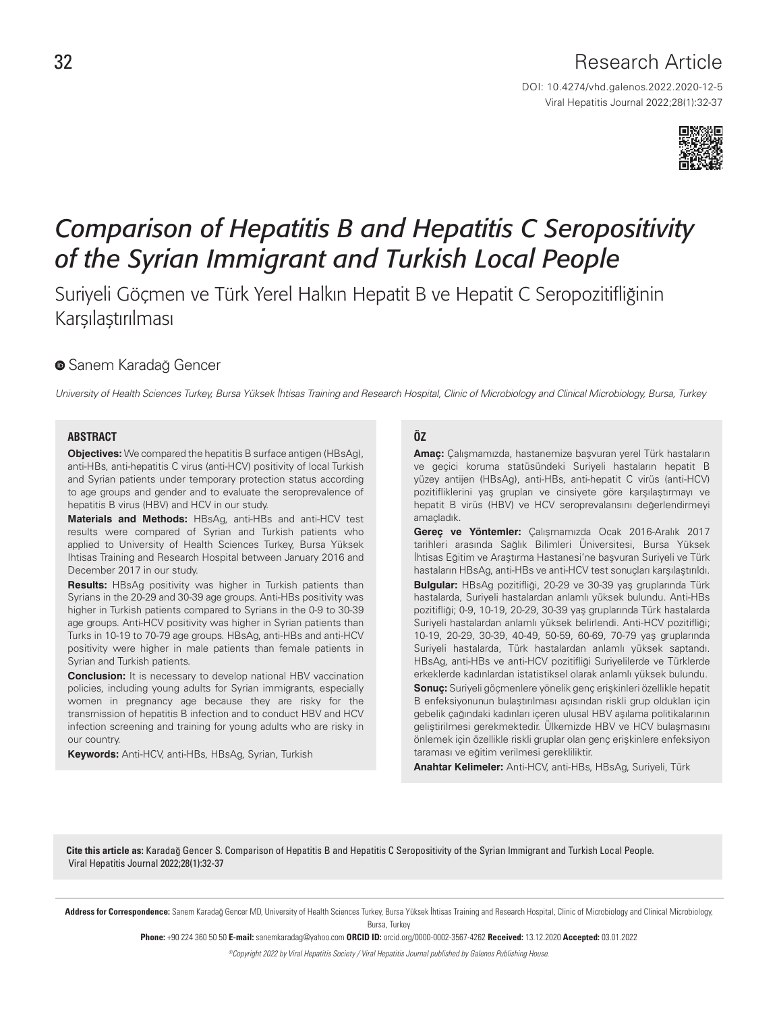# Research Article

DOI: 10.4274/vhd.galenos.2022.2020-12-5 Viral Hepatitis Journal 2022;28(1):32-37



# *Comparison of Hepatitis B and Hepatitis C Seropositivity of the Syrian Immigrant and Turkish Local People*

Suriyeli Göçmen ve Türk Yerel Halkın Hepatit B ve Hepatit C Seropozitifliğinin **Karsılastırılması** 

# **SanemKaradağ Gencer**

University of Health Sciences Turkey, Bursa Yüksek İhtisas Training and Research Hospital, Clinic of Microbiology and Clinical Microbiology, Bursa, Turkey

#### **ABSTRACT**

**Objectives:** We compared the hepatitis B surface antigen (HBsAg), anti-HBs, anti-hepatitis C virus (anti-HCV) positivity of local Turkish and Syrian patients under temporary protection status according to age groups and gender and to evaluate the seroprevalence of hepatitis B virus (HBV) and HCV in our study.

**Materials and Methods:** HBsAg, anti-HBs and anti-HCV test results were compared of Syrian and Turkish patients who applied to University of Health Sciences Turkey, Bursa Yüksek Ihtisas Training and Research Hospital between January 2016 and December 2017 in our study.

**Results:** HBsAg positivity was higher in Turkish patients than Syrians in the 20-29 and 30-39 age groups. Anti-HBs positivity was higher in Turkish patients compared to Syrians in the 0-9 to 30-39 age groups. Anti-HCV positivity was higher in Syrian patients than Turks in 10-19 to 70-79 age groups. HBsAg, anti-HBs and anti-HCV positivity were higher in male patients than female patients in Syrian and Turkish patients.

**Conclusion:** It is necessary to develop national HBV vaccination policies, including young adults for Syrian immigrants, especially women in pregnancy age because they are risky for the transmission of hepatitis B infection and to conduct HBV and HCV infection screening and training for young adults who are risky in our country.

**Keywords:** Anti-HCV, anti-HBs, HBsAg, Syrian, Turkish

# **ÖZ**

**Amaç:** Çalışmamızda, hastanemize başvuran yerel Türk hastaların ve geçici koruma statüsündeki Suriyeli hastaların hepatit B yüzey antijen (HBsAg), anti-HBs, anti-hepatit C virüs (anti-HCV) pozitifliklerini yaş grupları ve cinsiyete göre karşılaştırmayı ve hepatit B virüs (HBV) ve HCV seroprevalansını değerlendirmeyi amaçladık.

**Gereç ve Yöntemler:** Çalışmamızda Ocak 2016-Aralık 2017 tarihleri arasında Sağlık Bilimleri Üniversitesi, Bursa Yüksek İhtisas Eğitim ve Araştırma Hastanesi'ne başvuran Suriyeli ve Türk hastaların HBsAg, anti-HBs ve anti-HCV test sonuçları karşılaştırıldı. **Bulgular:** HBsAg pozitifliği, 20-29 ve 30-39 yaş gruplarında Türk hastalarda, Suriyeli hastalardan anlamlı yüksek bulundu. Anti-HBs pozitifliği; 0-9, 10-19, 20-29, 30-39 yaş gruplarında Türk hastalarda Suriyeli hastalardan anlamlı yüksek belirlendi. Anti-HCV pozitifliği; 10-19, 20-29, 30-39, 40-49, 50-59, 60-69, 70-79 yaş gruplarında Suriyeli hastalarda, Türk hastalardan anlamlı yüksek saptandı. HBsAg, anti-HBs ve anti-HCV pozitifliği Suriyelilerde ve Türklerde erkeklerde kadınlardan istatistiksel olarak anlamlı yüksek bulundu. **Sonuç:** Suriyeli göçmenlere yönelik genç erişkinleri özellikle hepatit B enfeksiyonunun bulaştırılması açısından riskli grup oldukları için gebelik çağındaki kadınları içeren ulusal HBV aşılama politikalarının geliştirilmesi gerekmektedir. Ülkemizde HBV ve HCV bulaşmasını önlemek için özellikle riskli gruplar olan genç erişkinlere enfeksiyon taraması ve eğitim verilmesi gerekliliktir.

**Anahtar Kelimeler:** Anti-HCV, anti-HBs, HBsAg, Suriyeli, Türk

Cite this article as: Karadağ Gencer S. Comparison of Hepatitis B and Hepatitis C Seropositivity of the Syrian Immigrant and Turkish Local People. Viral Hepatitis Journal 2022;28(1):32-37

Address for Correspondence: Sanem Karadağ Gencer MD, University of Health Sciences Turkey, Bursa Yüksek İhtisas Training and Research Hospital, Clinic of Microbiology and Clinical Microbiology, Bursa, Turkey

Phone: +90 224 360 50 50 E-mail: sanemkaradag@yahoo.com ORCID ID: orcid.org/0000-0002-3567-4262 Received: 13.12.2020 Accepted: 03.01.2022

©Copyright 2022 by Viral Hepatitis Society / Viral Hepatitis Journal published by Galenos Publishing House.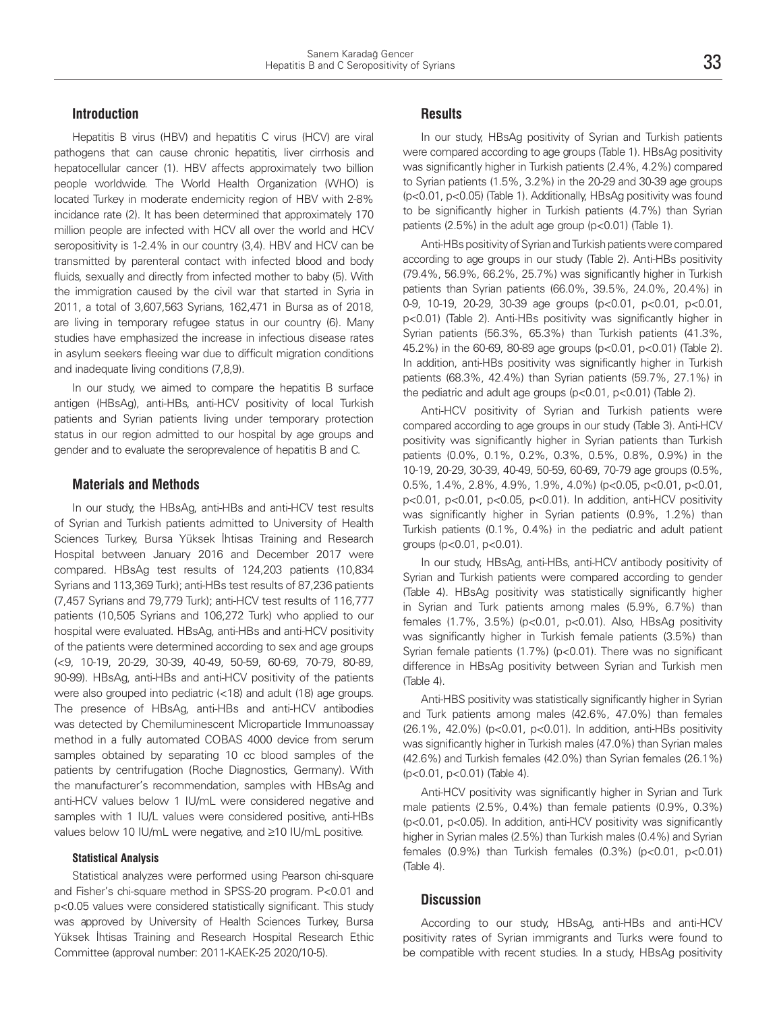# **Introduction**

Hepatitis B virus (HBV) and hepatitis C virus (HCV) are viral pathogens that can cause chronic hepatitis, liver cirrhosis and hepatocellular cancer (1). HBV affects approximately two billion people worldwide. The World Health Organization (WHO) is located Turkey in moderate endemicity region of HBV with 2-8% incidance rate (2). It has been determined that approximately 170 million people are infected with HCV all over the world and HCV seropositivity is 1-2.4% in our country (3,4). HBV and HCV can be transmitted by parenteral contact with infected blood and body fluids, sexually and directly from infected mother to baby (5). With the immigration caused by the civil war that started in Syria in 2011, a total of 3,607,563 Syrians, 162,471 in Bursa as of 2018, are living in temporary refugee status in our country (6). Many studies have emphasized the increase in infectious disease rates in asylum seekers fleeing war due to difficult migration conditions and inadequate living conditions (7,8,9).

In our study, we aimed to compare the hepatitis B surface antigen (HBsAg), anti-HBs, anti-HCV positivity of local Turkish patients and Syrian patients living under temporary protection status in our region admitted to our hospital by age groups and gender and to evaluate the seroprevalence of hepatitis B and C.

#### **Materials and Methods**

In our study, the HBsAg, anti-HBs and anti-HCV test results of Syrian and Turkish patients admitted to University of Health Sciences Turkey, Bursa Yüksek İhtisas Training and Research Hospital between January 2016 and December 2017 were compared. HBsAg test results of 124,203 patients (10,834 Syrians and 113,369 Turk); anti-HBs test results of 87,236 patients (7,457 Syrians and 79,779 Turk); anti-HCV test results of 116,777 patients (10,505 Syrians and 106,272 Turk) who applied to our hospital were evaluated. HBsAg, anti-HBs and anti-HCV positivity of the patients were determined according to sex and age groups (<9, 10-19, 20-29, 30-39, 40-49, 50-59, 60-69, 70-79, 80-89, 90-99). HBsAg, anti-HBs and anti-HCV positivity of the patients were also grouped into pediatric (<18) and adult (18) age groups. The presence of HBsAg, anti-HBs and anti-HCV antibodies was detected by Chemiluminescent Microparticle Immunoassay method in a fully automated COBAS 4000 device from serum samples obtained by separating 10 cc blood samples of the patients by centrifugation (Roche Diagnostics, Germany). With the manufacturer's recommendation, samples with HBsAg and anti-HCV values below 1 IU/mL were considered negative and samples with 1 IU/L values were considered positive, anti-HBs values below 10 IU/mL were negative, and ≥10 IU/mL positive.

# **Statistical Analysis**

Statistical analyzes were performed using Pearson chi-square and Fisher's chi-square method in SPSS-20 program. P<0.01 and p<0.05 values were considered statistically significant. This study was approved by University of Health Sciences Turkey, Bursa Yüksek İhtisas Training and Research Hospital Research Ethic Committee (approval number: 2011-KAEK-25 2020/10-5).

# **Results**

In our study, HBsAg positivity of Syrian and Turkish patients were compared according to age groups (Table 1). HBsAg positivity was significantly higher in Turkish patients (2.4%, 4.2%) compared to Syrian patients (1.5%, 3.2%) in the 20-29 and 30-39 age groups (p<0.01, p<0.05) (Table 1). Additionally, HBsAg positivity was found to be significantly higher in Turkish patients (4.7%) than Syrian patients (2.5%) in the adult age group (p<0.01) (Table 1).

Anti-HBs positivity of Syrian and Turkish patients were compared according to age groups in our study (Table 2). Anti-HBs positivity (79.4%, 56.9%, 66.2%, 25.7%) was significantly higher in Turkish patients than Syrian patients (66.0%, 39.5%, 24.0%, 20.4%) in 0-9, 10-19, 20-29, 30-39 age groups (p<0.01, p<0.01, p<0.01, p<0.01) (Table 2). Anti-HBs positivity was significantly higher in Syrian patients (56.3%, 65.3%) than Turkish patients (41.3%, 45.2%) in the 60-69, 80-89 age groups (p<0.01, p<0.01) (Table 2). In addition, anti-HBs positivity was significantly higher in Turkish patients (68.3%, 42.4%) than Syrian patients (59.7%, 27.1%) in the pediatric and adult age groups (p<0.01, p<0.01) (Table 2).

Anti-HCV positivity of Syrian and Turkish patients were compared according to age groups in our study (Table 3). Anti-HCV positivity was significantly higher in Syrian patients than Turkish patients (0.0%, 0.1%, 0.2%, 0.3%, 0.5%, 0.8%, 0.9%) in the 10-19, 20-29, 30-39, 40-49, 50-59, 60-69, 70-79 age groups (0.5%, 0.5%, 1.4%, 2.8%, 4.9%, 1.9%, 4.0%) (p<0.05, p<0.01, p<0.01, p<0.01, p<0.01, p<0.05, p<0.01). In addition, anti-HCV positivity was significantly higher in Syrian patients (0.9%, 1.2%) than Turkish patients (0.1%, 0.4%) in the pediatric and adult patient groups (p<0.01, p<0.01).

In our study, HBsAg, anti-HBs, anti-HCV antibody positivity of Syrian and Turkish patients were compared according to gender (Table 4). HBsAg positivity was statistically significantly higher in Syrian and Turk patients among males (5.9%, 6.7%) than females (1.7%, 3.5%) (p<0.01, p<0.01). Also, HBsAg positivity was significantly higher in Turkish female patients (3.5%) than Syrian female patients (1.7%) (p<0.01). There was no significant difference in HBsAg positivity between Syrian and Turkish men (Table 4).

Anti-HBS positivity was statistically significantly higher in Syrian and Turk patients among males (42.6%, 47.0%) than females (26.1%, 42.0%) (p<0.01, p<0.01). In addition, anti-HBs positivity was significantly higher in Turkish males (47.0%) than Syrian males (42.6%) and Turkish females (42.0%) than Syrian females (26.1%) (p<0.01, p<0.01) (Table 4).

Anti-HCV positivity was significantly higher in Syrian and Turk male patients (2.5%, 0.4%) than female patients (0.9%, 0.3%) (p<0.01, p<0.05). In addition, anti-HCV positivity was significantly higher in Syrian males (2.5%) than Turkish males (0.4%) and Syrian females (0.9%) than Turkish females (0.3%) (p<0.01, p<0.01) (Table 4).

#### **Discussion**

According to our study, HBsAg, anti-HBs and anti-HCV positivity rates of Syrian immigrants and Turks were found to be compatible with recent studies. In a study, HBsAg positivity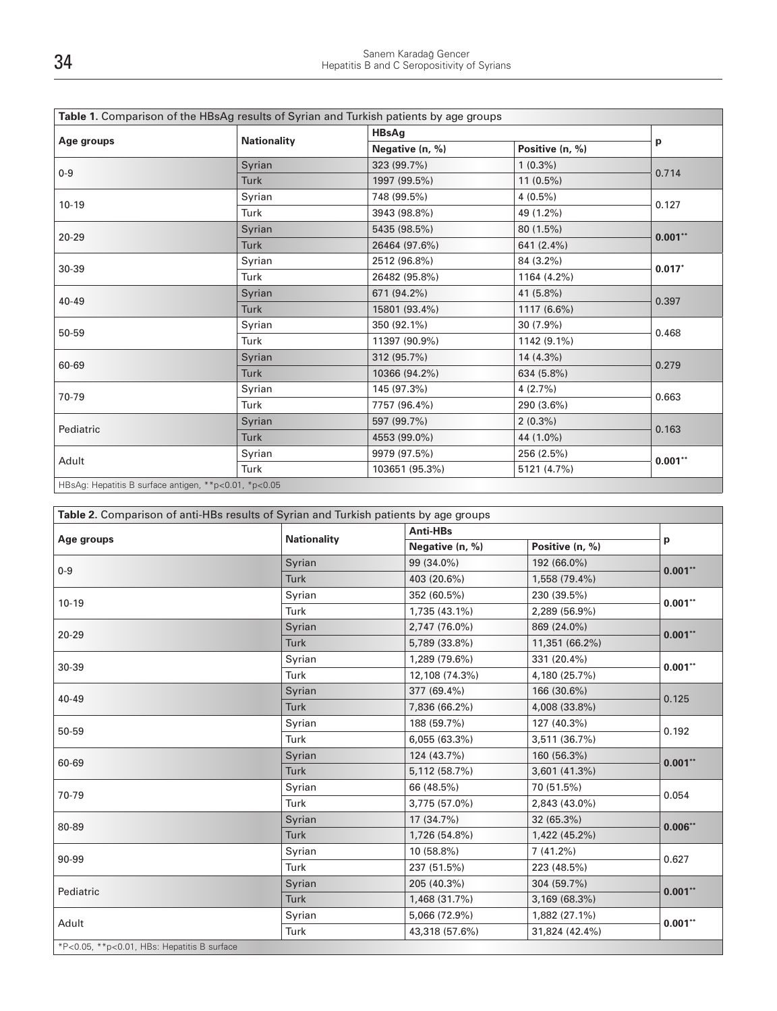| Age groups |                    | <b>HBsAg</b>    |                 |           |  |
|------------|--------------------|-----------------|-----------------|-----------|--|
|            | <b>Nationality</b> | Negative (n, %) | Positive (n, %) | p         |  |
| $0 - 9$    | Syrian             | 323 (99.7%)     | $1(0.3\%)$      | 0.714     |  |
|            | <b>Turk</b>        | 1997 (99.5%)    | $11(0.5\%)$     |           |  |
| $10 - 19$  | Syrian             | 748 (99.5%)     | $4(0.5\%)$      | 0.127     |  |
|            | Turk               | 3943 (98.8%)    | 49 (1.2%)       |           |  |
| $20 - 29$  | Syrian             | 5435 (98.5%)    | 80 (1.5%)       | $0.001**$ |  |
|            | <b>Turk</b>        | 26464 (97.6%)   | 641 (2.4%)      |           |  |
| 30-39      | Syrian             | 2512 (96.8%)    | 84 (3.2%)       | $0.017*$  |  |
|            | Turk               | 26482 (95.8%)   | 1164 (4.2%)     |           |  |
| $40 - 49$  | Syrian             | 671 (94.2%)     | 41 (5.8%)       |           |  |
|            | <b>Turk</b>        | 15801 (93.4%)   | 1117 (6.6%)     | 0.397     |  |
| 50-59      | Syrian             | 350 (92.1%)     | $30(7.9\%)$     | 0.468     |  |
|            | Turk               | 11397 (90.9%)   | 1142 (9.1%)     |           |  |
| 60-69      | Syrian             | 312 (95.7%)     | $14(4.3\%)$     | 0.279     |  |
|            | <b>Turk</b>        | 10366 (94.2%)   | 634 (5.8%)      |           |  |
| 70-79      | Syrian             | 145 (97.3%)     | $4(2.7\%)$      | 0.663     |  |
|            | Turk               | 7757 (96.4%)    | 290 (3.6%)      |           |  |
| Pediatric  | Syrian             | 597 (99.7%)     | $2(0.3\%)$      | 0.163     |  |
|            | <b>Turk</b>        | 4553 (99.0%)    | 44 (1.0%)       |           |  |
|            | Syrian             | 9979 (97.5%)    | 256 (2.5%)      | $0.001**$ |  |
| Adult      | Turk               | 103651 (95.3%)  | 5121 (4.7%)     |           |  |

| Table 2. Comparison of anti-HBs results of Syrian and Turkish patients by age groups |                    |                 |                 |           |  |
|--------------------------------------------------------------------------------------|--------------------|-----------------|-----------------|-----------|--|
|                                                                                      | <b>Nationality</b> | Anti-HBs        |                 |           |  |
| Age groups                                                                           |                    | Negative (n, %) | Positive (n, %) | p         |  |
| $0 - 9$                                                                              | Syrian             | 99 (34.0%)      | 192 (66.0%)     | $0.001**$ |  |
|                                                                                      | Turk               | 403 (20.6%)     | 1,558 (79.4%)   |           |  |
| $10 - 19$                                                                            | Syrian             | 352 (60.5%)     | 230 (39.5%)     | $0.001**$ |  |
|                                                                                      | Turk               | 1,735 (43.1%)   | 2,289 (56.9%)   |           |  |
| $20 - 29$                                                                            | Syrian             | 2,747 (76.0%)   | 869 (24.0%)     | $0.001**$ |  |
|                                                                                      | <b>Turk</b>        | 5,789 (33.8%)   | 11,351 (66.2%)  |           |  |
|                                                                                      | Syrian             | 1,289 (79.6%)   | 331 (20.4%)     |           |  |
| 30-39                                                                                | Turk               | 12,108 (74.3%)  | 4,180 (25.7%)   | $0.001**$ |  |
| $40 - 49$                                                                            | Syrian             | 377 (69.4%)     | 166 (30.6%)     | 0.125     |  |
|                                                                                      | <b>Turk</b>        | 7,836 (66.2%)   | 4,008 (33.8%)   |           |  |
|                                                                                      | Syrian             | 188 (59.7%)     | 127 (40.3%)     |           |  |
| 50-59                                                                                | Turk               | 6,055 (63.3%)   | 3,511 (36.7%)   | 0.192     |  |
|                                                                                      | Syrian             | 124 (43.7%)     | 160 (56.3%)     | $0.001**$ |  |
| 60-69                                                                                | <b>Turk</b>        | 5,112 (58.7%)   | 3,601 (41.3%)   |           |  |
| 70-79                                                                                | Syrian             | 66 (48.5%)      | 70 (51.5%)      |           |  |
|                                                                                      | Turk               | 3,775 (57.0%)   | 2,843 (43.0%)   | 0.054     |  |
| 80-89                                                                                | Syrian             | 17 (34.7%)      | 32 (65.3%)      | $0.006**$ |  |
|                                                                                      | <b>Turk</b>        | 1,726 (54.8%)   | 1,422 (45.2%)   |           |  |
| 90-99                                                                                | Syrian             | 10 (58.8%)      | 7(41.2%)        | 0.627     |  |
|                                                                                      | Turk               | 237 (51.5%)     | 223 (48.5%)     |           |  |
| Pediatric                                                                            | Syrian             | 205 (40.3%)     | 304 (59.7%)     | $0.001**$ |  |
|                                                                                      | Turk               | 1,468 (31.7%)   | 3,169 (68.3%)   |           |  |
|                                                                                      | Syrian             | 5,066 (72.9%)   | 1,882 (27.1%)   | $0.001**$ |  |
| Adult                                                                                | Turk               | 43,318 (57.6%)  | 31,824 (42.4%)  |           |  |
| *P<0.05, **p<0.01, HBs: Hepatitis B surface                                          |                    |                 |                 |           |  |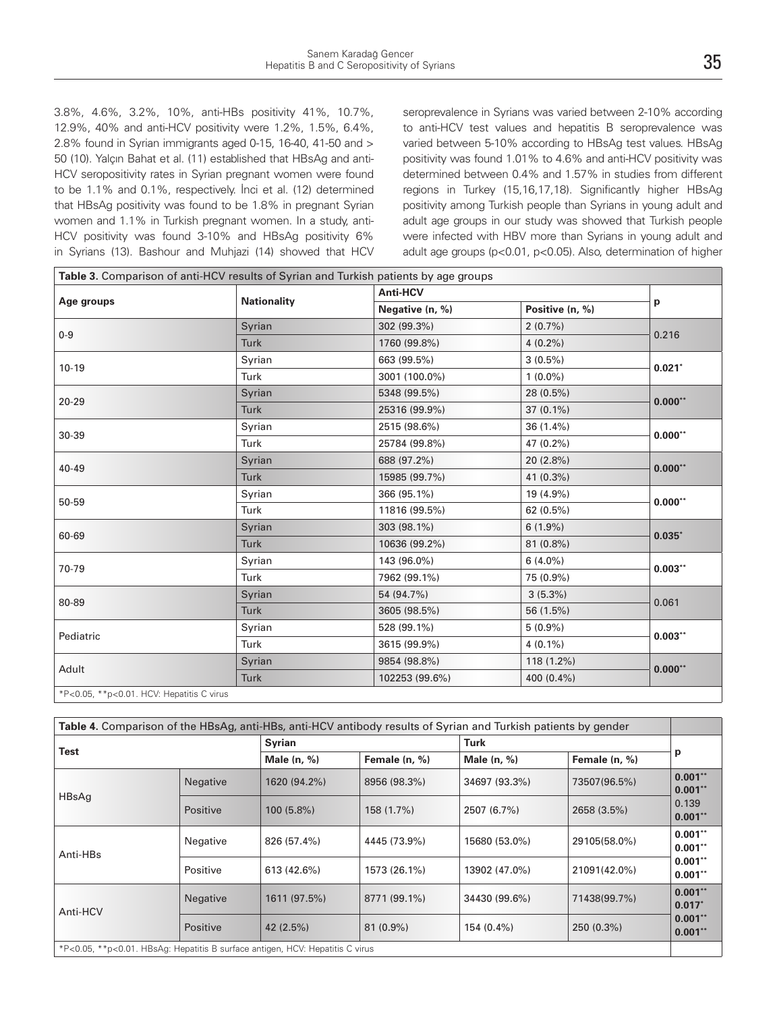3.8%, 4.6%, 3.2%, 10%, anti-HBs positivity 41%, 10.7%, 12.9%, 40% and anti-HCV positivity were 1.2%, 1.5%, 6.4%, 2.8% found in Syrian immigrants aged 0-15, 16-40, 41-50 and > 50 (10). Yalçın Bahat et al. (11) established that HBsAg and anti-HCV seropositivity rates in Syrian pregnant women were found to be 1.1% and 0.1%, respectively. İnci et al. (12) determined that HBsAg positivity was found to be 1.8% in pregnant Syrian women and 1.1% in Turkish pregnant women. In a study, anti-HCV positivity was found 3-10% and HBsAg positivity 6% in Syrians (13). Bashour and Muhjazi (14) showed that HCV seroprevalence in Syrians was varied between 2-10% according to anti-HCV test values and hepatitis B seroprevalence was varied between 5-10% according to HBsAg test values. HBsAg positivity was found 1.01% to 4.6% and anti-HCV positivity was determined between 0.4% and 1.57% in studies from different regions in Turkey (15,16,17,18). Significantly higher HBsAg positivity among Turkish people than Syrians in young adult and adult age groups in our study was showed that Turkish people were infected with HBV more than Syrians in young adult and adult age groups (p<0.01, p<0.05). Also, determination of higher

|                                           | Table 3. Comparison of anti-HCV results of Syrian and Turkish patients by age groups |                 |                 |           |  |
|-------------------------------------------|--------------------------------------------------------------------------------------|-----------------|-----------------|-----------|--|
| Age groups                                |                                                                                      | <b>Anti-HCV</b> |                 |           |  |
|                                           | <b>Nationality</b>                                                                   | Negative (n, %) | Positive (n, %) | p         |  |
| $0-9$                                     | Syrian                                                                               | 302 (99.3%)     | $2(0.7\%)$      |           |  |
|                                           | <b>Turk</b>                                                                          | 1760 (99.8%)    | $4(0.2\%)$      | 0.216     |  |
| $10-19$                                   | Syrian                                                                               | 663 (99.5%)     | $3(0.5\%)$      | $0.021*$  |  |
|                                           | Turk                                                                                 | 3001 (100.0%)   | $1(0.0\%)$      |           |  |
| $20 - 29$                                 | Syrian                                                                               | 5348 (99.5%)    | 28 (0.5%)       | $0.000**$ |  |
|                                           | <b>Turk</b>                                                                          | 25316 (99.9%)   | $37(0.1\%)$     |           |  |
|                                           | Syrian                                                                               | 2515 (98.6%)    | $36(1.4\%)$     | $0.000**$ |  |
| 30-39                                     | Turk                                                                                 | 25784 (99.8%)   | 47 (0.2%)       |           |  |
| 40-49                                     | Syrian                                                                               | 688 (97.2%)     | 20 (2.8%)       | $0.000**$ |  |
|                                           | Turk                                                                                 | 15985 (99.7%)   | 41 (0.3%)       |           |  |
|                                           | Syrian                                                                               | 366 (95.1%)     | 19 (4.9%)       | $0.000**$ |  |
| 50-59                                     | Turk                                                                                 | 11816 (99.5%)   | 62(0.5%)        |           |  |
|                                           | Syrian                                                                               | 303 (98.1%)     | $6(1.9\%)$      | $0.035*$  |  |
| 60-69                                     | <b>Turk</b>                                                                          | 10636 (99.2%)   | 81 (0.8%)       |           |  |
| 70-79                                     | Syrian                                                                               | 143 (96.0%)     | $6(4.0\%)$      | $0.003**$ |  |
|                                           | Turk                                                                                 | 7962 (99.1%)    | 75 (0.9%)       |           |  |
| 80-89                                     | Syrian                                                                               | 54 (94.7%)      | $3(5.3\%)$      |           |  |
|                                           | <b>Turk</b>                                                                          | 3605 (98.5%)    | 56 (1.5%)       | 0.061     |  |
| Pediatric                                 | Syrian                                                                               | 528 (99.1%)     | $5(0.9\%)$      |           |  |
|                                           | Turk                                                                                 | 3615 (99.9%)    | $4(0.1\%)$      | $0.003**$ |  |
| Adult                                     | Syrian                                                                               | 9854 (98.8%)    | $118(1.2\%)$    | $0.000**$ |  |
|                                           | Turk                                                                                 | 102253 (99.6%)  | 400 (0.4%)      |           |  |
| *P<0.05, **p<0.01. HCV: Hepatitis C virus |                                                                                      |                 |                 |           |  |

| Table 4. Comparison of the HBsAg, anti-HBs, anti-HCV antibody results of Syrian and Turkish patients by gender |                 |               |               |               |               |                        |
|----------------------------------------------------------------------------------------------------------------|-----------------|---------------|---------------|---------------|---------------|------------------------|
| Test                                                                                                           |                 | <b>Syrian</b> |               | Turk          |               |                        |
|                                                                                                                |                 | Male $(n, %)$ | Female (n, %) | Male $(n, %)$ | Female (n, %) | р                      |
| HBsAg                                                                                                          | <b>Negative</b> | 1620 (94.2%)  | 8956 (98.3%)  | 34697 (93.3%) | 73507(96.5%)  | $0.001**$<br>$0.001**$ |
|                                                                                                                | <b>Positive</b> | $100(5.8\%)$  | 158 (1.7%)    | 2507 (6.7%)   | 2658 (3.5%)   | 0.139<br>$0.001**$     |
| Anti-HBs                                                                                                       | Negative        | 826 (57.4%)   | 4445 (73.9%)  | 15680 (53.0%) | 29105(58.0%)  | $0.001**$<br>$0.001**$ |
|                                                                                                                | Positive        | 613 (42.6%)   | 1573 (26.1%)  | 13902 (47.0%) | 21091(42.0%)  | $0.001**$<br>$0.001**$ |
| Anti-HCV                                                                                                       | Negative        | 1611 (97.5%)  | 8771 (99.1%)  | 34430 (99.6%) | 71438(99.7%)  | $0.001**$<br>$0.017*$  |
|                                                                                                                | Positive        | 42 (2.5%)     | $81(0.9\%)$   | $154(0.4\%)$  | 250 (0.3%)    | $0.001**$<br>$0.001**$ |
| *P<0.05, **p<0.01. HBsAg: Hepatitis B surface antigen, HCV: Hepatitis C virus                                  |                 |               |               |               |               |                        |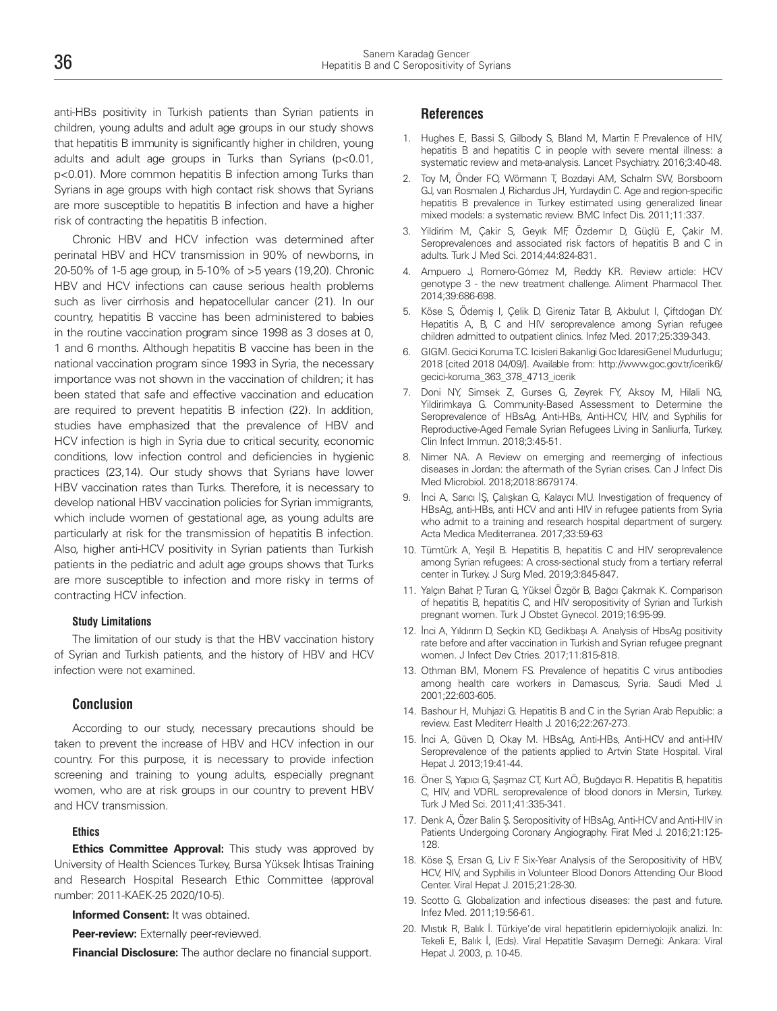anti-HBs positivity in Turkish patients than Syrian patients in children, young adults and adult age groups in our study shows that hepatitis B immunity is significantly higher in children, young adults and adult age groups in Turks than Syrians (p<0.01, p<0.01). More common hepatitis B infection among Turks than Syrians in age groups with high contact risk shows that Syrians are more susceptible to hepatitis B infection and have a higher risk of contracting the hepatitis B infection.

Chronic HBV and HCV infection was determined after perinatal HBV and HCV transmission in 90% of newborns, in 20-50% of 1-5 age group, in 5-10% of >5 years (19,20). Chronic HBV and HCV infections can cause serious health problems such as liver cirrhosis and hepatocellular cancer (21). In our country, hepatitis B vaccine has been administered to babies in the routine vaccination program since 1998 as 3 doses at 0, 1 and 6 months. Although hepatitis B vaccine has been in the national vaccination program since 1993 in Syria, the necessary importance was not shown in the vaccination of children; it has been stated that safe and effective vaccination and education are required to prevent hepatitis B infection (22). In addition, studies have emphasized that the prevalence of HBV and HCV infection is high in Syria due to critical security, economic conditions, low infection control and deficiencies in hygienic practices (23,14). Our study shows that Syrians have lower HBV vaccination rates than Turks. Therefore, it is necessary to develop national HBV vaccination policies for Syrian immigrants, which include women of gestational age, as young adults are particularly at risk for the transmission of hepatitis B infection. Also, higher anti-HCV positivity in Syrian patients than Turkish patients in the pediatric and adult age groups shows that Turks are more susceptible to infection and more risky in terms of contracting HCV infection.

# **Study Limitations**

The limitation of our study is that the HBV vaccination history of Syrian and Turkish patients, and the history of HBV and HCV infection were not examined.

### **Conclusion**

According to our study, necessary precautions should be taken to prevent the increase of HBV and HCV infection in our country. For this purpose, it is necessary to provide infection screening and training to young adults, especially pregnant women, who are at risk groups in our country to prevent HBV and HCV transmission.

### **Ethics**

**Ethics Committee Approval:** This study was approved by University of Health Sciences Turkey, Bursa Yüksek İhtisas Training and Research Hospital Research Ethic Committee (approval number: 2011-KAEK-25 2020/10-5).

**Informed Consent:** It was obtained.

**Peer-review:** Externally peer-reviewed.

**Financial Disclosure:** The author declare no financial support.

# **References**

- 1. Hughes E, Bassi S, Gilbody S, Bland M, Martin F. Prevalence of HIV, hepatitis B and hepatitis C in people with severe mental illness: a systematic review and meta-analysis. Lancet Psychiatry. 2016;3:40-48.
- 2. Toy M, Önder FO, Wörmann T, Bozdayi AM, Schalm SW, Borsboom GJ, van Rosmalen J, Richardus JH, Yurdaydin C. Age and region-specific hepatitis B prevalence in Turkey estimated using generalized linear mixed models: a systematic review. BMC Infect Dis. 2011;11:337.
- 3. Yildirim M, Çakir S, Geyık MF, Özdemır D, Güçlü E, Çakir M. Seroprevalences and associated risk factors of hepatitis B and C in adults. Turk J Med Sci. 2014;44:824-831.
- 4. Ampuero J, Romero-Gómez M, Reddy KR. Review article: HCV genotype 3 - the new treatment challenge. Aliment Pharmacol Ther. 2014;39:686-698.
- 5. Köse S, Ödemiş I, Çelik D, Gireniz Tatar B, Akbulut I, Çiftdoğan DY. Hepatitis A, B, C and HIV seroprevalence among Syrian refugee children admitted to outpatient clinics. Infez Med. 2017;25:339-343.
- 6. GIGM. Gecici Koruma T.C. Icisleri Bakanligi Goc IdaresiGenel Mudurlugu; 2018 [cited 2018 04/09/]. Available from: http://www.goc.gov.tr/icerik6/ gecici-koruma\_363\_378\_4713\_icerik
- 7. Doni NY, Simsek Z, Gurses G, Zeyrek FY, Aksoy M, Hilali NG, Yildirimkaya G. Community-Based Assessment to Determine the Seroprevalence of HBsAg, Anti-HBs, Anti-HCV, HIV, and Syphilis for Reproductive-Aged Female Syrian Refugees Living in Sanliurfa, Turkey. Clin Infect Immun. 2018;3:45-51.
- Nimer NA. A Review on emerging and reemerging of infectious diseases in Jordan: the aftermath of the Syrian crises. Can J Infect Dis Med Microbiol. 2018;2018:8679174.
- 9. İnci A, Sarıcı İŞ, Çalışkan G, Kalaycı MU. Investigation of frequency of HBsAg, anti-HBs, anti HCV and anti HIV in refugee patients from Syria who admit to a training and research hospital department of surgery. Acta Medica Mediterranea. 2017;33:59-63
- 10. Tümtürk A, Yeşil B. Hepatitis B, hepatitis C and HIV seroprevalence among Syrian refugees: A cross-sectional study from a tertiary referral center in Turkey. J Surg Med. 2019;3:845-847.
- 11. Yalçın Bahat P, Turan G, Yüksel Özgör B, Bağcı Çakmak K. Comparison of hepatitis B, hepatitis C, and HIV seropositivity of Syrian and Turkish pregnant women. Turk J Obstet Gynecol. 2019;16:95-99.
- 12. İnci A, Yıldırım D, Seçkin KD, Gedikbaşı A. Analysis of HbsAg positivity rate before and after vaccination in Turkish and Syrian refugee pregnant women. J Infect Dev Ctries. 2017;11:815-818.
- 13. Othman BM, Monem FS. Prevalence of hepatitis C virus antibodies among health care workers in Damascus, Syria. Saudi Med J. 2001;22:603-605.
- 14. Bashour H, Muhjazi G. Hepatitis B and C in the Syrian Arab Republic: a review. East Mediterr Health J. 2016;22:267-273.
- 15. İnci A, Güven D, Okay M. HBsAg, Anti-HBs, Anti-HCV and anti-HIV Seroprevalence of the patients applied to Artvin State Hospital. Viral Hepat J. 2013;19:41-44.
- 16. Öner S, Yapıcı G, Şaşmaz CT, Kurt AÖ, Buğdaycı R. Hepatitis B, hepatitis C, HIV, and VDRL seroprevalence of blood donors in Mersin, Turkey. Turk J Med Sci. 2011;41:335-341.
- 17. Denk A, Özer Balin Ş. Seropositivity of HBsAg, Anti-HCV and Anti-HIV in Patients Undergoing Coronary Angiography. Firat Med J. 2016;21:125- 128.
- 18. Köse Ş, Ersan G, Liv F. Six-Year Analysis of the Seropositivity of HBV, HCV, HIV, and Syphilis in Volunteer Blood Donors Attending Our Blood Center. Viral Hepat J. 2015;21:28-30.
- 19. Scotto G. Globalization and infectious diseases: the past and future. Infez Med. 2011;19:56-61.
- 20. Mıstık R, Balık İ. Türkiye'de viral hepatitlerin epidemiyolojik analizi. In: Tekeli E, Balık İ, (Eds). Viral Hepatitle Savaşım Derneği: Ankara: Viral Hepat J. 2003, p. 10-45.